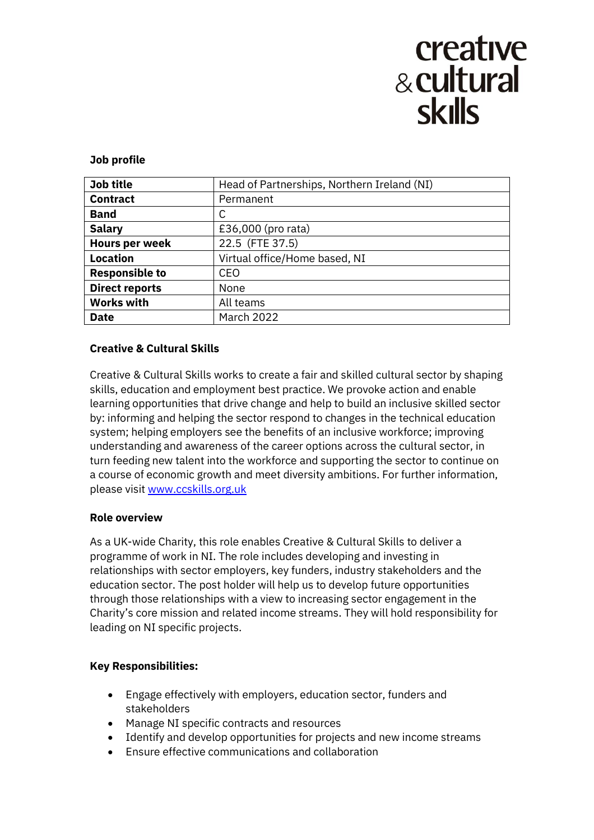# creative & cultural **skills**

#### **Job profile**

| Job title             | Head of Partnerships, Northern Ireland (NI) |
|-----------------------|---------------------------------------------|
| <b>Contract</b>       | Permanent                                   |
| <b>Band</b>           | С                                           |
| <b>Salary</b>         | £36,000 (pro rata)                          |
| <b>Hours per week</b> | 22.5 (FTE 37.5)                             |
| <b>Location</b>       | Virtual office/Home based, NI               |
| <b>Responsible to</b> | <b>CEO</b>                                  |
| <b>Direct reports</b> | None                                        |
| <b>Works with</b>     | All teams                                   |
| <b>Date</b>           | <b>March 2022</b>                           |

# **Creative & Cultural Skills**

Creative & Cultural Skills works to create a fair and skilled cultural sector by shaping skills, education and employment best practice. We provoke action and enable learning opportunities that drive change and help to build an inclusive skilled sector by: informing and helping the sector respond to changes in the technical education system; helping employers see the benefits of an inclusive workforce; improving understanding and awareness of the career options across the cultural sector, in turn feeding new talent into the workforce and supporting the sector to continue on a course of economic growth and meet diversity ambitions. For further information, please visit [www.ccskills.org.uk](http://www.ccskills.org.uk/)

## **Role overview**

As a UK-wide Charity, this role enables Creative & Cultural Skills to deliver a programme of work in NI. The role includes developing and investing in relationships with sector employers, key funders, industry stakeholders and the education sector. The post holder will help us to develop future opportunities through those relationships with a view to increasing sector engagement in the Charity's core mission and related income streams. They will hold responsibility for leading on NI specific projects.

## **Key Responsibilities:**

- Engage effectively with employers, education sector, funders and stakeholders
- Manage NI specific contracts and resources
- Identify and develop opportunities for projects and new income streams
- Ensure effective communications and collaboration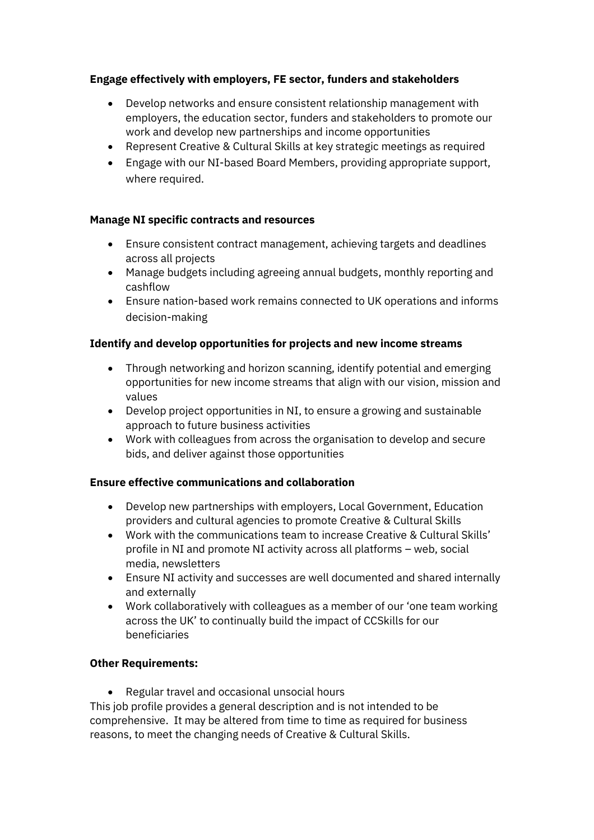# **Engage effectively with employers, FE sector, funders and stakeholders**

- Develop networks and ensure consistent relationship management with employers, the education sector, funders and stakeholders to promote our work and develop new partnerships and income opportunities
- Represent Creative & Cultural Skills at key strategic meetings as required
- Engage with our NI-based Board Members, providing appropriate support, where required.

#### **Manage NI specific contracts and resources**

- Ensure consistent contract management, achieving targets and deadlines across all projects
- Manage budgets including agreeing annual budgets, monthly reporting and cashflow
- Ensure nation-based work remains connected to UK operations and informs decision-making

#### **Identify and develop opportunities for projects and new income streams**

- Through networking and horizon scanning, identify potential and emerging opportunities for new income streams that align with our vision, mission and values
- Develop project opportunities in NI, to ensure a growing and sustainable approach to future business activities
- Work with colleagues from across the organisation to develop and secure bids, and deliver against those opportunities

#### **Ensure effective communications and collaboration**

- Develop new partnerships with employers, Local Government, Education providers and cultural agencies to promote Creative & Cultural Skills
- Work with the communications team to increase Creative & Cultural Skills' profile in NI and promote NI activity across all platforms – web, social media, newsletters
- Ensure NI activity and successes are well documented and shared internally and externally
- Work collaboratively with colleagues as a member of our 'one team working across the UK' to continually build the impact of CCSkills for our beneficiaries

#### **Other Requirements:**

• Regular travel and occasional unsocial hours

This job profile provides a general description and is not intended to be comprehensive. It may be altered from time to time as required for business reasons, to meet the changing needs of Creative & Cultural Skills.